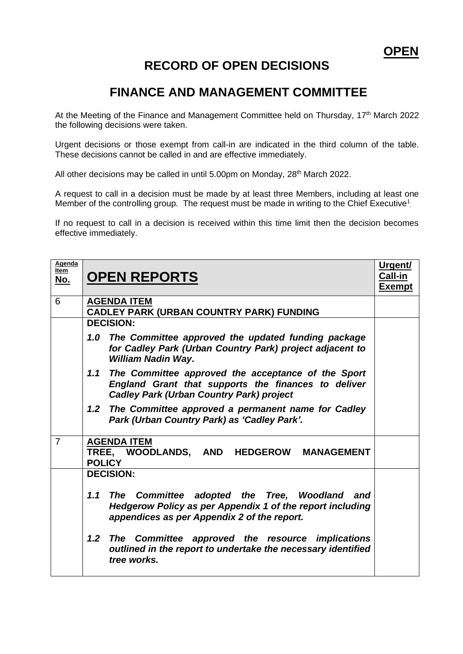## **RECORD OF OPEN DECISIONS**

## **FINANCE AND MANAGEMENT COMMITTEE**

At the Meeting of the Finance and Management Committee held on Thursday, 17<sup>th</sup> March 2022 the following decisions were taken.

Urgent decisions or those exempt from call-in are indicated in the third column of the table. These decisions cannot be called in and are effective immediately.

All other decisions may be called in until 5.00pm on Monday, 28<sup>th</sup> March 2022.

A request to call in a decision must be made by at least three Members, including at least one Member of the controlling group. The request must be made in writing to the Chief Executive<sup>1</sup>.

If no request to call in a decision is received within this time limit then the decision becomes effective immediately.

| Agenda<br><u>Item</u><br><u>No.</u> | <b>OPEN REPORTS</b>                                                                                                                                                 | <u>Urgent/</u><br><b>Call-in</b><br>Exempt |
|-------------------------------------|---------------------------------------------------------------------------------------------------------------------------------------------------------------------|--------------------------------------------|
| 6                                   | <b>AGENDA ITEM</b><br><b>CADLEY PARK (URBAN COUNTRY PARK) FUNDING</b>                                                                                               |                                            |
|                                     | <b>DECISION:</b>                                                                                                                                                    |                                            |
|                                     | The Committee approved the updated funding package<br>1.0<br>for Cadley Park (Urban Country Park) project adjacent to<br>William Nadin Way.                         |                                            |
|                                     | 1.1<br>The Committee approved the acceptance of the Sport<br>England Grant that supports the finances to deliver<br><b>Cadley Park (Urban Country Park) project</b> |                                            |
|                                     | The Committee approved a permanent name for Cadley<br>1.2<br>Park (Urban Country Park) as 'Cadley Park'.                                                            |                                            |
| $\overline{7}$                      | <b>AGENDA ITEM</b><br>TREE, WOODLANDS, AND HEDGEROW MANAGEMENT<br><b>POLICY</b>                                                                                     |                                            |
|                                     | <b>DECISION:</b>                                                                                                                                                    |                                            |
|                                     | The Committee adopted the Tree, Woodland<br>1.1<br>and<br>Hedgerow Policy as per Appendix 1 of the report including<br>appendices as per Appendix 2 of the report.  |                                            |
|                                     | 1.2 <sub>2</sub><br>The Committee approved the resource implications<br>outlined in the report to undertake the necessary identified<br>tree works.                 |                                            |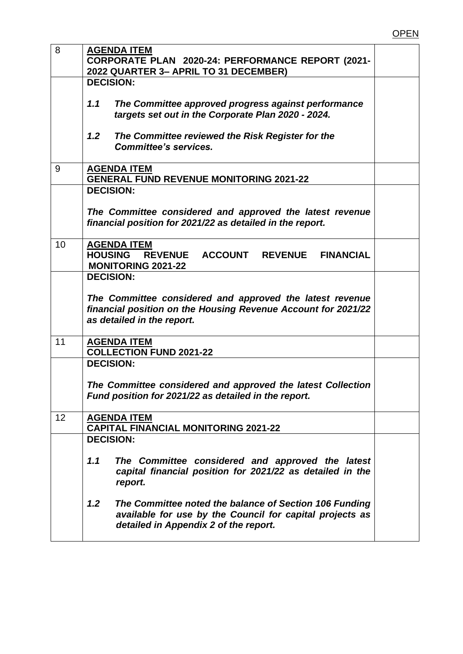| 8  | <b>AGENDA ITEM</b>                                            |  |
|----|---------------------------------------------------------------|--|
|    | CORPORATE PLAN 2020-24: PERFORMANCE REPORT (2021-             |  |
|    | 2022 QUARTER 3- APRIL TO 31 DECEMBER)                         |  |
|    | <b>DECISION:</b>                                              |  |
|    |                                                               |  |
|    | 1.1<br>The Committee approved progress against performance    |  |
|    | targets set out in the Corporate Plan 2020 - 2024.            |  |
|    |                                                               |  |
|    | 1.2<br>The Committee reviewed the Risk Register for the       |  |
|    | <b>Committee's services.</b>                                  |  |
|    |                                                               |  |
| 9  | <b>AGENDA ITEM</b>                                            |  |
|    | <b>GENERAL FUND REVENUE MONITORING 2021-22</b>                |  |
|    | <b>DECISION:</b>                                              |  |
|    |                                                               |  |
|    | The Committee considered and approved the latest revenue      |  |
|    | financial position for 2021/22 as detailed in the report.     |  |
|    |                                                               |  |
| 10 | <b>AGENDA ITEM</b>                                            |  |
|    | <b>HOUSING</b><br><b>REVENUE</b><br>ACCOUNT REVENUE FINANCIAL |  |
|    | <b>MONITORING 2021-22</b>                                     |  |
|    | <b>DECISION:</b>                                              |  |
|    |                                                               |  |
|    |                                                               |  |
|    | The Committee considered and approved the latest revenue      |  |
|    | financial position on the Housing Revenue Account for 2021/22 |  |
|    | as detailed in the report.                                    |  |
|    |                                                               |  |
| 11 | <b>AGENDA ITEM</b>                                            |  |
|    | <b>COLLECTION FUND 2021-22</b>                                |  |
|    | <b>DECISION:</b>                                              |  |
|    |                                                               |  |
|    | The Committee considered and approved the latest Collection   |  |
|    | Fund position for 2021/22 as detailed in the report.          |  |
|    |                                                               |  |
| 12 | <b>AGENDA ITEM</b>                                            |  |
|    | <b>CAPITAL FINANCIAL MONITORING 2021-22</b>                   |  |
|    | <b>DECISION:</b>                                              |  |
|    |                                                               |  |
|    | 1.1<br>The Committee considered and approved the latest       |  |
|    | capital financial position for 2021/22 as detailed in the     |  |
|    | report.                                                       |  |
|    |                                                               |  |
|    | 1.2<br>The Committee noted the balance of Section 106 Funding |  |
|    | available for use by the Council for capital projects as      |  |
|    | detailed in Appendix 2 of the report.                         |  |
|    |                                                               |  |